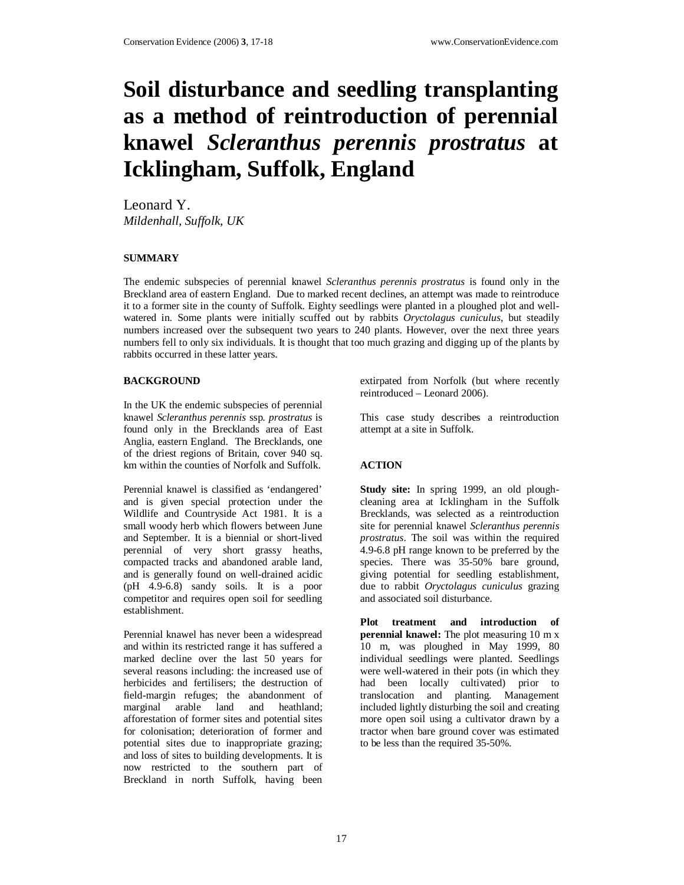# **Soil disturbance and seedling transplanting as a method of reintroduction of perennial knawel** *Scleranthus perennis prostratus* **at Icklingham, Suffolk, England**

Leonard Y. *Mildenhall, Suffolk, UK* 

## **SUMMARY**

The endemic subspecies of perennial knawel *Scleranthus perennis prostratus* is found only in the Breckland area of eastern England. Due to marked recent declines, an attempt was made to reintroduce it to a former site in the county of Suffolk. Eighty seedlings were planted in a ploughed plot and wellwatered in. Some plants were initially scuffed out by rabbits *Oryctolagus cuniculus*, but steadily numbers increased over the subsequent two years to 240 plants. However, over the next three years numbers fell to only six individuals. It is thought that too much grazing and digging up of the plants by rabbits occurred in these latter years.

#### **BACKGROUND**

In the UK the endemic subspecies of perennial knawel *Scleranthus perennis* ssp. *prostratus* is found only in the Brecklands area of East Anglia, eastern England. The Brecklands, one of the driest regions of Britain, cover 940 sq. km within the counties of Norfolk and Suffolk.

Perennial knawel is classified as 'endangered' and is given special protection under the Wildlife and Countryside Act 1981. It is a small woody herb which flowers between June and September. It is a biennial or short-lived perennial of very short grassy heaths, compacted tracks and abandoned arable land, and is generally found on well-drained acidic (pH 4.9-6.8) sandy soils. It is a poor competitor and requires open soil for seedling establishment.

Perennial knawel has never been a widespread and within its restricted range it has suffered a marked decline over the last 50 years for several reasons including: the increased use of herbicides and fertilisers; the destruction of field-margin refuges; the abandonment of marginal arable land and heathland; afforestation of former sites and potential sites for colonisation; deterioration of former and potential sites due to inappropriate grazing; and loss of sites to building developments. It is now restricted to the southern part of Breckland in north Suffolk, having been

extirpated from Norfolk (but where recently reintroduced – Leonard 2006).

This case study describes a reintroduction attempt at a site in Suffolk.

#### **ACTION**

**Study site:** In spring 1999, an old ploughcleaning area at Icklingham in the Suffolk Brecklands, was selected as a reintroduction site for perennial knawel *Scleranthus perennis prostratus*. The soil was within the required 4.9-6.8 pH range known to be preferred by the species. There was 35-50% bare ground, giving potential for seedling establishment, due to rabbit *Oryctolagus cuniculus* grazing and associated soil disturbance.

**Plot treatment and introduction of perennial knawel:** The plot measuring 10 m x 10 m, was ploughed in May 1999, 80 individual seedlings were planted. Seedlings were well-watered in their pots (in which they had been locally cultivated) prior to translocation and planting. Management included lightly disturbing the soil and creating more open soil using a cultivator drawn by a tractor when bare ground cover was estimated to be less than the required 35-50%.